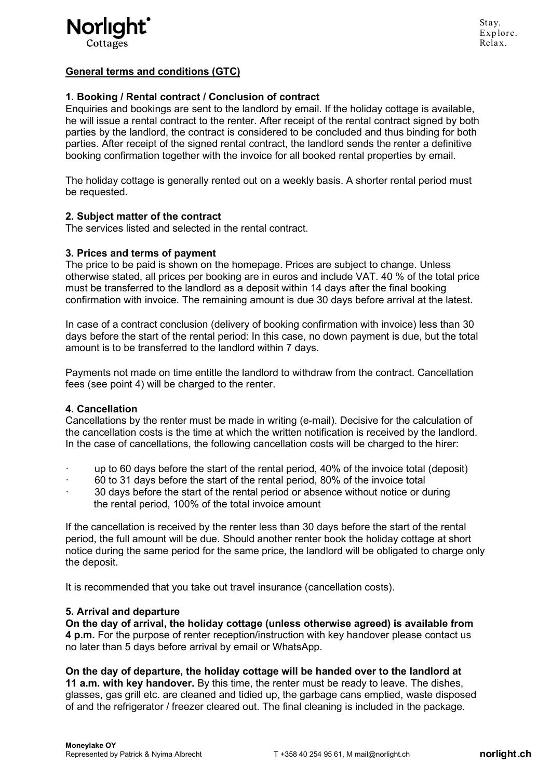

# General terms and conditions (GTC)

## 1. Booking / Rental contract / Conclusion of contract

Enquiries and bookings are sent to the landlord by email. If the holiday cottage is available, he will issue a rental contract to the renter. After receipt of the rental contract signed by both parties by the landlord, the contract is considered to be concluded and thus binding for both parties. After receipt of the signed rental contract, the landlord sends the renter a definitive booking confirmation together with the invoice for all booked rental properties by email.

The holiday cottage is generally rented out on a weekly basis. A shorter rental period must be requested.

### 2. Subject matter of the contract

The services listed and selected in the rental contract.

### 3. Prices and terms of payment

The price to be paid is shown on the homepage. Prices are subject to change. Unless otherwise stated, all prices per booking are in euros and include VAT. 40 % of the total price must be transferred to the landlord as a deposit within 14 days after the final booking confirmation with invoice. The remaining amount is due 30 days before arrival at the latest.

In case of a contract conclusion (delivery of booking confirmation with invoice) less than 30 days before the start of the rental period: In this case, no down payment is due, but the total amount is to be transferred to the landlord within 7 days.

Payments not made on time entitle the landlord to withdraw from the contract. Cancellation fees (see point 4) will be charged to the renter.

### 4. Cancellation

Cancellations by the renter must be made in writing (e-mail). Decisive for the calculation of the cancellation costs is the time at which the written notification is received by the landlord. In the case of cancellations, the following cancellation costs will be charged to the hirer:

- · up to 60 days before the start of the rental period, 40% of the invoice total (deposit)
- · 60 to 31 days before the start of the rental period, 80% of the invoice total
- 30 davs before the start of the rental period or absence without notice or during the rental period, 100% of the total invoice amount

If the cancellation is received by the renter less than 30 days before the start of the rental period, the full amount will be due. Should another renter book the holiday cottage at short notice during the same period for the same price, the landlord will be obligated to charge only the deposit.

It is recommended that you take out travel insurance (cancellation costs).

### 5. Arrival and departure

On the day of arrival, the holiday cottage (unless otherwise agreed) is available from 4 p.m. For the purpose of renter reception/instruction with key handover please contact us no later than 5 days before arrival by email or WhatsApp.

On the day of departure, the holiday cottage will be handed over to the landlord at 11 a.m. with key handover. By this time, the renter must be ready to leave. The dishes, glasses, gas grill etc. are cleaned and tidied up, the garbage cans emptied, waste disposed of and the refrigerator / freezer cleared out. The final cleaning is included in the package.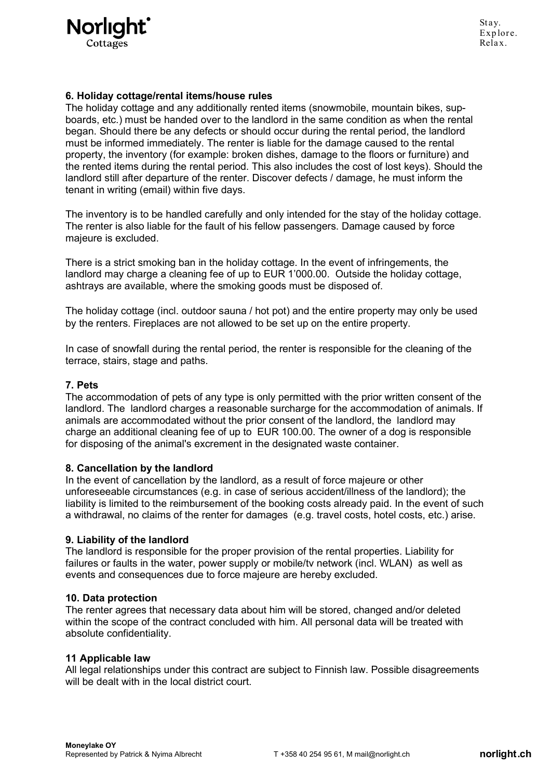

## 6. Holiday cottage/rental items/house rules

The holiday cottage and any additionally rented items (snowmobile, mountain bikes, supboards, etc.) must be handed over to the landlord in the same condition as when the rental began. Should there be any defects or should occur during the rental period, the landlord must be informed immediately. The renter is liable for the damage caused to the rental property, the inventory (for example: broken dishes, damage to the floors or furniture) and the rented items during the rental period. This also includes the cost of lost keys). Should the landlord still after departure of the renter. Discover defects / damage, he must inform the tenant in writing (email) within five days.

The inventory is to be handled carefully and only intended for the stay of the holiday cottage. The renter is also liable for the fault of his fellow passengers. Damage caused by force majeure is excluded.

There is a strict smoking ban in the holiday cottage. In the event of infringements, the landlord may charge a cleaning fee of up to EUR 1'000.00. Outside the holiday cottage, ashtrays are available, where the smoking goods must be disposed of.

The holiday cottage (incl. outdoor sauna / hot pot) and the entire property may only be used by the renters. Fireplaces are not allowed to be set up on the entire property.

In case of snowfall during the rental period, the renter is responsible for the cleaning of the terrace, stairs, stage and paths.

### 7. Pets

The accommodation of pets of any type is only permitted with the prior written consent of the landlord. The landlord charges a reasonable surcharge for the accommodation of animals. If animals are accommodated without the prior consent of the landlord, the landlord may charge an additional cleaning fee of up to EUR 100.00. The owner of a dog is responsible for disposing of the animal's excrement in the designated waste container.

### 8. Cancellation by the landlord

In the event of cancellation by the landlord, as a result of force majeure or other unforeseeable circumstances (e.g. in case of serious accident/illness of the landlord); the liability is limited to the reimbursement of the booking costs already paid. In the event of such a withdrawal, no claims of the renter for damages (e.g. travel costs, hotel costs, etc.) arise.

### 9. Liability of the landlord

The landlord is responsible for the proper provision of the rental properties. Liability for failures or faults in the water, power supply or mobile/tv network (incl. WLAN) as well as events and consequences due to force majeure are hereby excluded.

#### 10. Data protection

The renter agrees that necessary data about him will be stored, changed and/or deleted within the scope of the contract concluded with him. All personal data will be treated with absolute confidentiality.

### 11 Applicable law

All legal relationships under this contract are subject to Finnish law. Possible disagreements will be dealt with in the local district court.